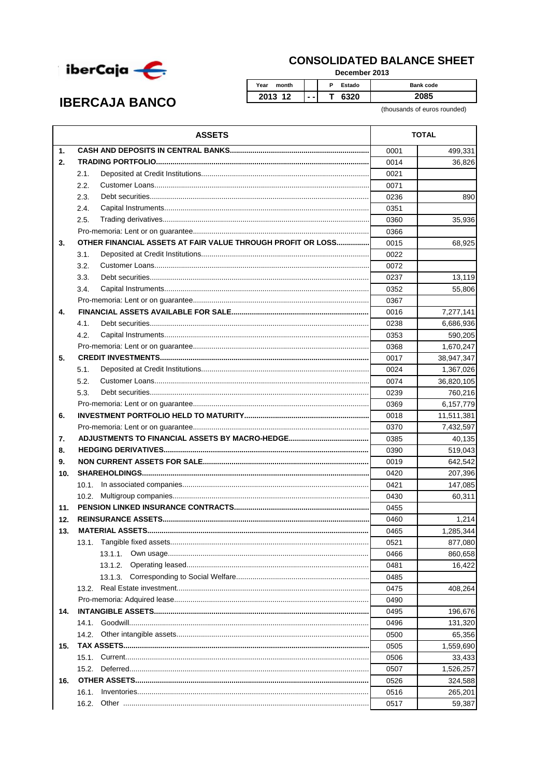

## **CONSOLIDATED BALANCE SHEET**

December 2013

P. Estado

T 6320

**IBERCAJA BANCO** 

 $\mathbf{1}$ 

 $2.$ 

 $3.$ 

 $\mathbf{A}$ 

 $5.$ 

 $2.1.$ 

 $22$ 

 $2.3.$ 

 $24$  $2.5.$ 

 $3.1.$  $3.2.$ 

 $3.3.$ 

 $3.4.$ 

 $4.1$ 42

 $5.1.$ 

2085

**Bank code** 

(thousands of euros rounded) **ASSETS TOTAL** 499.331 0001 36,826 0014 0021 0071 0236 890 0351 0360 35,936  $0.366$ OTHER FINANCIAL ASSETS AT FAIR VALUE THROUGH PROFIT OR LOSS............... 0015 68,925 0022 0072 0237 13,119 55,806 0352 0367  $0016$ 7,277,141 0238 6,686,936 0353 590,205 0368 1,670,247 38,947,347 0017 0024 1,367,026 Customer Loans  $\overline{O(2)}$ **26.820.105** 

Year

month

2013 12

|                 | 5.2.     | 0074 | 36,820,105 |
|-----------------|----------|------|------------|
|                 | 5.3.     | 0239 | 760,216    |
|                 |          | 0369 | 6,157,779  |
| 6.              |          | 0018 | 11,511,381 |
|                 |          | 0370 | 7,432,597  |
| 7.              |          | 0385 | 40.135     |
| 8.              |          | 0390 | 519,043    |
| 9.              |          | 0019 | 642,542    |
| 10 <sub>1</sub> |          | 0420 | 207,396    |
|                 | 10.1.    | 0421 | 147,085    |
|                 | 10.2.    | 0430 | 60,311     |
| 11.             |          | 0455 |            |
| 12.             |          | 0460 | 1,214      |
| 13.             |          | 0465 | 1,285,344  |
|                 | 13.1.    | 0521 | 877,080    |
|                 |          | 0466 | 860,658    |
|                 | 13.1.2.  | 0481 | 16,422     |
|                 | 13.1.3.  | 0485 |            |
|                 |          | 0475 | 408.264    |
|                 |          | 0490 |            |
| 14.             |          | 0495 | 196,676    |
|                 |          | 0496 | 131,320    |
|                 |          | 0500 | 65,356     |
| 15.             |          | 0505 | 1,559,690  |
|                 |          | 0506 | 33,433     |
|                 |          | 0507 | 1,526,257  |
| 16.             |          | 0526 | 324,588    |
|                 | $16.1$ . | 0516 | 265,201    |
|                 |          | 0517 | 59,387     |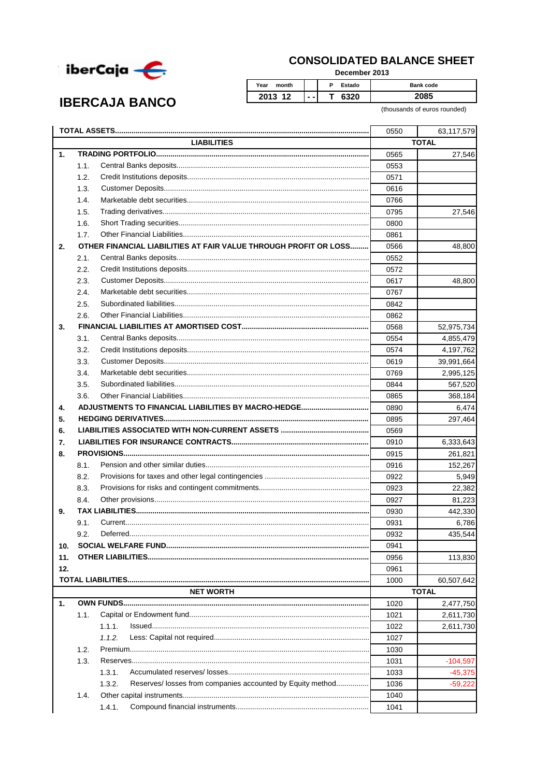

**IBERCAJA BANCO** 

## **CONSOLIDATED BALANCE SHEET**

December 2013

| Year<br>month |     | Estado<br>D | <b>Bank code</b> |
|---------------|-----|-------------|------------------|
| 2013 12       | - - | 6320        |                  |

(thousands of euros rounded)

|     |                    |                                                                      | 0550 | 63,117,579   |  |
|-----|--------------------|----------------------------------------------------------------------|------|--------------|--|
|     | <b>LIABILITIES</b> |                                                                      |      | <b>TOTAL</b> |  |
| 1.  |                    |                                                                      | 0565 | 27,546       |  |
|     | 1.1.               |                                                                      | 0553 |              |  |
|     | 1.2.               |                                                                      | 0571 |              |  |
|     | 1.3.               |                                                                      | 0616 |              |  |
|     | 1.4.               |                                                                      | 0766 |              |  |
|     | 1.5.               |                                                                      | 0795 | 27,546       |  |
|     | 1.6.               |                                                                      | 0800 |              |  |
|     | 1.7.               |                                                                      | 0861 |              |  |
| 2.  |                    | OTHER FINANCIAL LIABILITIES AT FAIR VALUE THROUGH PROFIT OR LOSS     | 0566 | 48,800       |  |
|     | 2.1.               |                                                                      | 0552 |              |  |
|     | 2.2.               |                                                                      | 0572 |              |  |
|     | 2.3.               |                                                                      | 0617 | 48,800       |  |
|     | 2.4.               |                                                                      | 0767 |              |  |
|     | 2.5.               |                                                                      | 0842 |              |  |
|     | 2.6.               |                                                                      | 0862 |              |  |
| 3.  |                    |                                                                      | 0568 | 52,975,734   |  |
|     | 3.1.               |                                                                      | 0554 | 4,855,479    |  |
|     | 3.2.               |                                                                      | 0574 | 4,197,762    |  |
|     | 3.3.               |                                                                      | 0619 | 39,991,664   |  |
|     | 3.4.               |                                                                      | 0769 | 2,995,125    |  |
|     | 3.5.               |                                                                      | 0844 | 567,520      |  |
|     | 3.6.               |                                                                      | 0865 | 368,184      |  |
| 4.  |                    |                                                                      | 0890 | 6,474        |  |
| 5.  |                    |                                                                      | 0895 | 297,464      |  |
| 6.  |                    |                                                                      | 0569 |              |  |
| 7.  |                    |                                                                      | 0910 | 6,333,643    |  |
| 8.  |                    |                                                                      | 0915 | 261,821      |  |
|     | 8.1.               |                                                                      | 0916 | 152,267      |  |
|     | 8.2.               |                                                                      | 0922 | 5,949        |  |
|     | 8.3.               |                                                                      | 0923 | 22,382       |  |
|     | 8.4.               |                                                                      | 0927 | 81,223       |  |
| 9.  |                    |                                                                      | 0930 | 442,330      |  |
|     | 9.1.               |                                                                      | 0931 | 6,786        |  |
|     | 9.2.               |                                                                      | 0932 | 435,544      |  |
| 10. |                    |                                                                      | 0941 |              |  |
| 11. |                    |                                                                      | 0956 | 113,830      |  |
| 12. |                    |                                                                      | 0961 |              |  |
|     |                    |                                                                      | 1000 | 60,507,642   |  |
|     |                    | <b>NET WORTH</b>                                                     |      | <b>TOTAL</b> |  |
| 1.  |                    |                                                                      | 1020 | 2,477,750    |  |
|     | 1.1.               |                                                                      | 1021 | 2,611,730    |  |
|     |                    | 1.1.1.                                                               | 1022 |              |  |
|     |                    | 1.1.2.                                                               | 1027 | 2,611,730    |  |
|     | 1.2.               |                                                                      | 1030 |              |  |
|     | 1.3.               |                                                                      | 1031 |              |  |
|     |                    |                                                                      |      | $-104,597$   |  |
|     |                    | 1.3.1.                                                               | 1033 | $-45,375$    |  |
|     |                    | Reserves/ losses from companies accounted by Equity method<br>1.3.2. | 1036 | $-59,222$    |  |
|     | 1.4.               |                                                                      | 1040 |              |  |
|     |                    | 1.4.1.                                                               | 1041 |              |  |